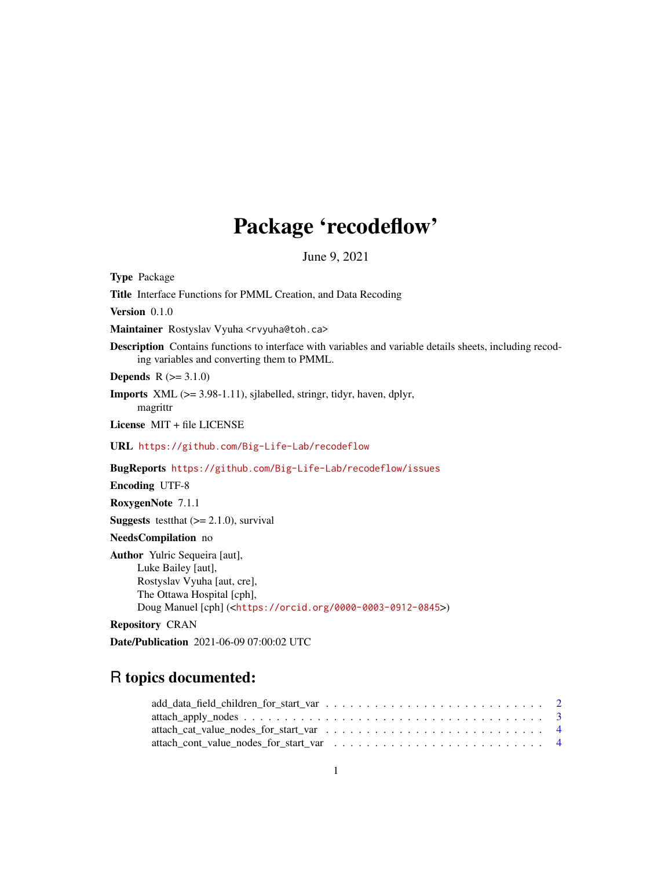# Package 'recodeflow'

June 9, 2021

Type Package

Title Interface Functions for PMML Creation, and Data Recoding

Version 0.1.0

Maintainer Rostyslav Vyuha <rvyuha@toh.ca>

Description Contains functions to interface with variables and variable details sheets, including recoding variables and converting them to PMML.

**Depends**  $R (= 3.1.0)$ 

Imports XML (>= 3.98-1.11), sjlabelled, stringr, tidyr, haven, dplyr, magrittr

License MIT + file LICENSE

URL <https://github.com/Big-Life-Lab/recodeflow>

BugReports <https://github.com/Big-Life-Lab/recodeflow/issues>

Encoding UTF-8

RoxygenNote 7.1.1

**Suggests** test that  $(>= 2.1.0)$ , survival

NeedsCompilation no

Author Yulric Sequeira [aut], Luke Bailey [aut], Rostyslav Vyuha [aut, cre], The Ottawa Hospital [cph], Doug Manuel [cph] (<<https://orcid.org/0000-0003-0912-0845>>)

Repository CRAN

Date/Publication 2021-06-09 07:00:02 UTC

# R topics documented: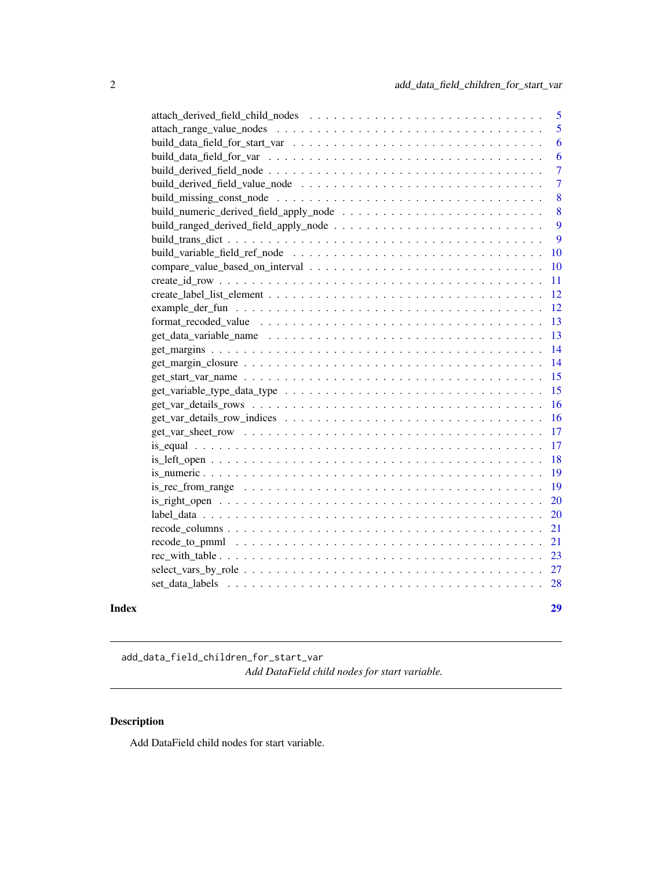<span id="page-1-0"></span>

| Index | 29             |
|-------|----------------|
|       |                |
|       |                |
|       |                |
|       | 21             |
|       | 21             |
|       | 20             |
|       | 20             |
|       | 19             |
|       | <b>19</b>      |
|       | 18             |
|       | 17             |
|       | 17             |
|       | 16             |
|       | <sup>16</sup>  |
|       | 15             |
|       | 15             |
|       | 14             |
|       |                |
|       |                |
|       |                |
|       |                |
|       |                |
|       |                |
|       |                |
|       | <b>10</b>      |
|       | 9              |
|       | 9              |
|       | 8              |
|       | 8              |
|       | $\overline{7}$ |
|       | $\overline{7}$ |
|       | 6              |
|       | 6              |
|       | 5              |
|       | $\overline{5}$ |
|       |                |

add\_data\_field\_children\_for\_start\_var *Add DataField child nodes for start variable.*

# Description

Add DataField child nodes for start variable.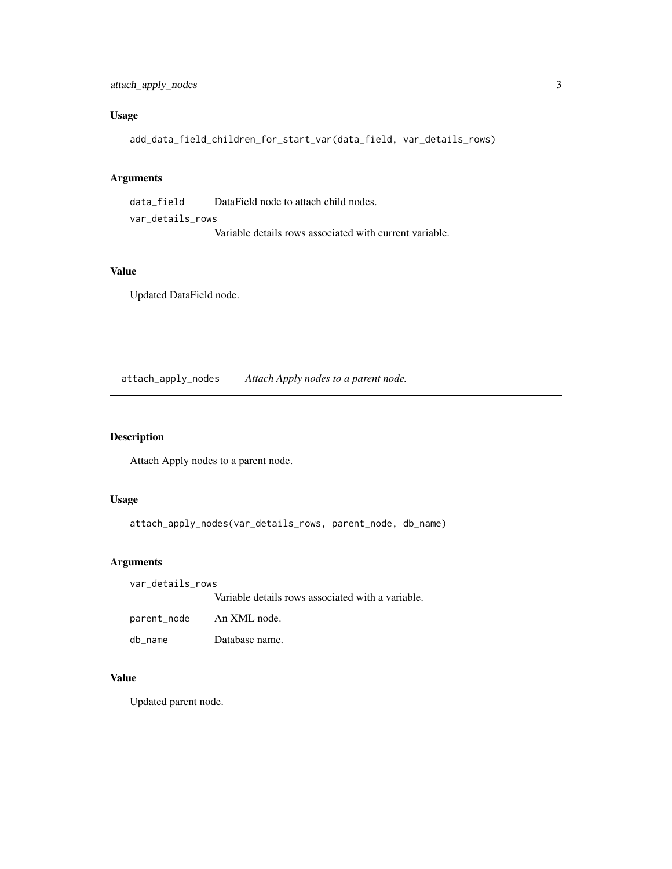# <span id="page-2-0"></span>Usage

```
add_data_field_children_for_start_var(data_field, var_details_rows)
```
#### Arguments

data\_field DataField node to attach child nodes. var\_details\_rows Variable details rows associated with current variable.

# Value

Updated DataField node.

attach\_apply\_nodes *Attach Apply nodes to a parent node.*

#### Description

Attach Apply nodes to a parent node.

#### Usage

attach\_apply\_nodes(var\_details\_rows, parent\_node, db\_name)

#### Arguments

var\_details\_rows

Variable details rows associated with a variable.

| parent_node | An XML node.   |
|-------------|----------------|
| db name     | Database name. |

#### Value

Updated parent node.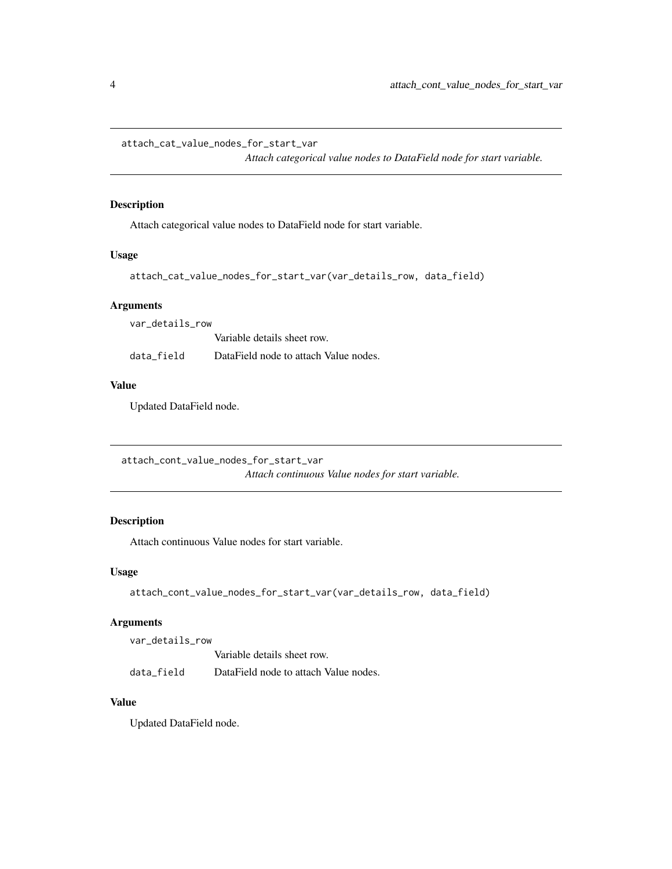<span id="page-3-0"></span>attach\_cat\_value\_nodes\_for\_start\_var

*Attach categorical value nodes to DataField node for start variable.*

#### Description

Attach categorical value nodes to DataField node for start variable.

#### Usage

```
attach_cat_value_nodes_for_start_var(var_details_row, data_field)
```
#### Arguments

var\_details\_row

Variable details sheet row. data\_field DataField node to attach Value nodes.

#### Value

Updated DataField node.

attach\_cont\_value\_nodes\_for\_start\_var *Attach continuous Value nodes for start variable.*

# Description

Attach continuous Value nodes for start variable.

#### Usage

```
attach_cont_value_nodes_for_start_var(var_details_row, data_field)
```
#### Arguments

var\_details\_row Variable details sheet row. data\_field DataField node to attach Value nodes.

#### Value

Updated DataField node.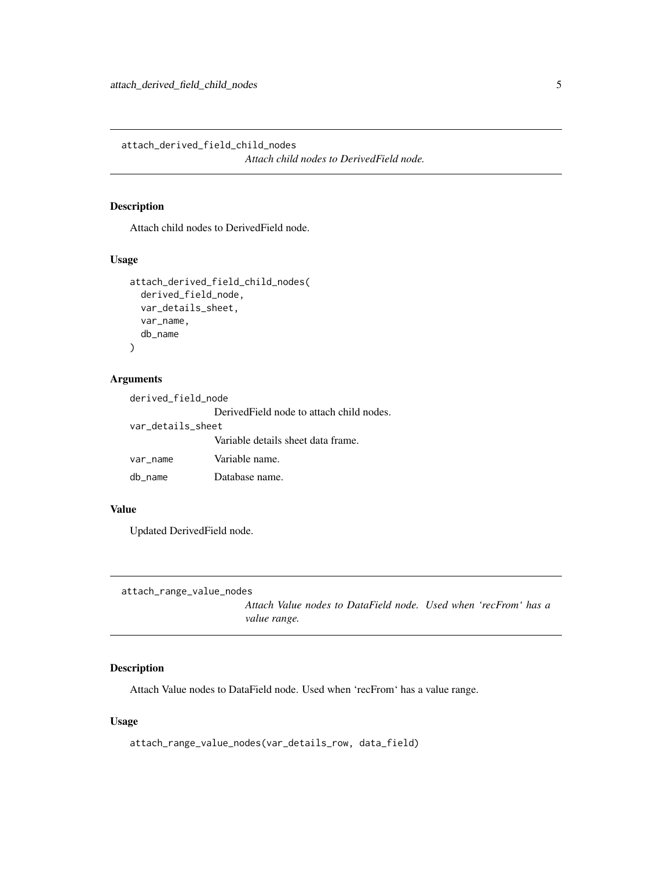<span id="page-4-0"></span>attach\_derived\_field\_child\_nodes

*Attach child nodes to DerivedField node.*

#### Description

Attach child nodes to DerivedField node.

#### Usage

```
attach_derived_field_child_nodes(
  derived_field_node,
  var_details_sheet,
  var_name,
  db_name
)
```
#### Arguments

| derived_field_node |                                           |
|--------------------|-------------------------------------------|
|                    | Derived Field node to attach child nodes. |
| var details sheet  |                                           |
|                    | Variable details sheet data frame.        |
| var_name           | Variable name.                            |
| db name            | Database name.                            |

#### Value

Updated DerivedField node.

```
attach_range_value_nodes
```
*Attach Value nodes to DataField node. Used when 'recFrom' has a value range.*

#### Description

Attach Value nodes to DataField node. Used when 'recFrom' has a value range.

#### Usage

```
attach_range_value_nodes(var_details_row, data_field)
```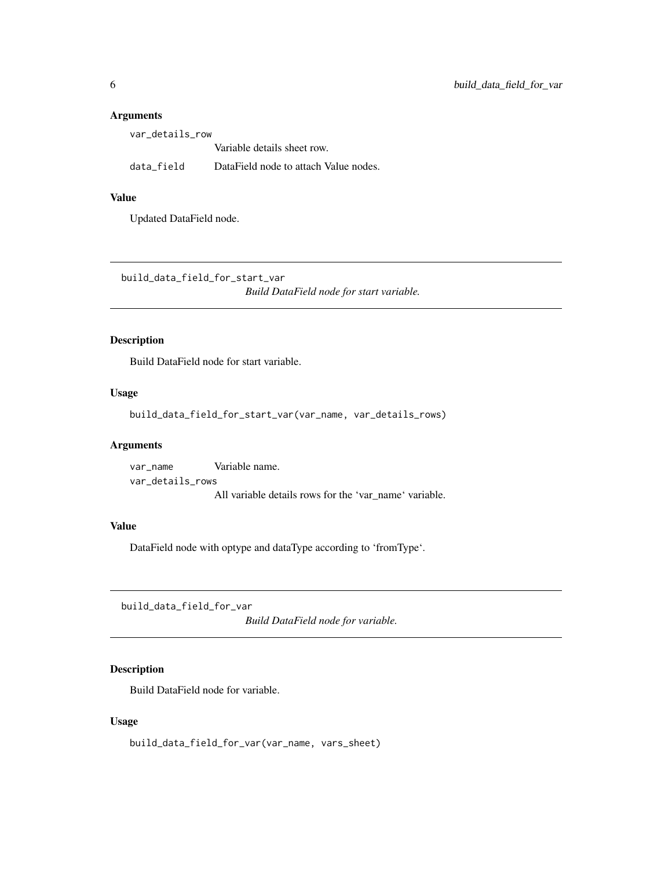| var details row |                                       |
|-----------------|---------------------------------------|
|                 | Variable details sheet row.           |
| data field      | DataField node to attach Value nodes. |

#### Value

Updated DataField node.

build\_data\_field\_for\_start\_var *Build DataField node for start variable.*

#### Description

Build DataField node for start variable.

#### Usage

build\_data\_field\_for\_start\_var(var\_name, var\_details\_rows)

#### Arguments

var\_name Variable name. var\_details\_rows All variable details rows for the 'var\_name' variable.

#### Value

DataField node with optype and dataType according to 'fromType'.

build\_data\_field\_for\_var

*Build DataField node for variable.*

#### Description

Build DataField node for variable.

#### Usage

build\_data\_field\_for\_var(var\_name, vars\_sheet)

<span id="page-5-0"></span>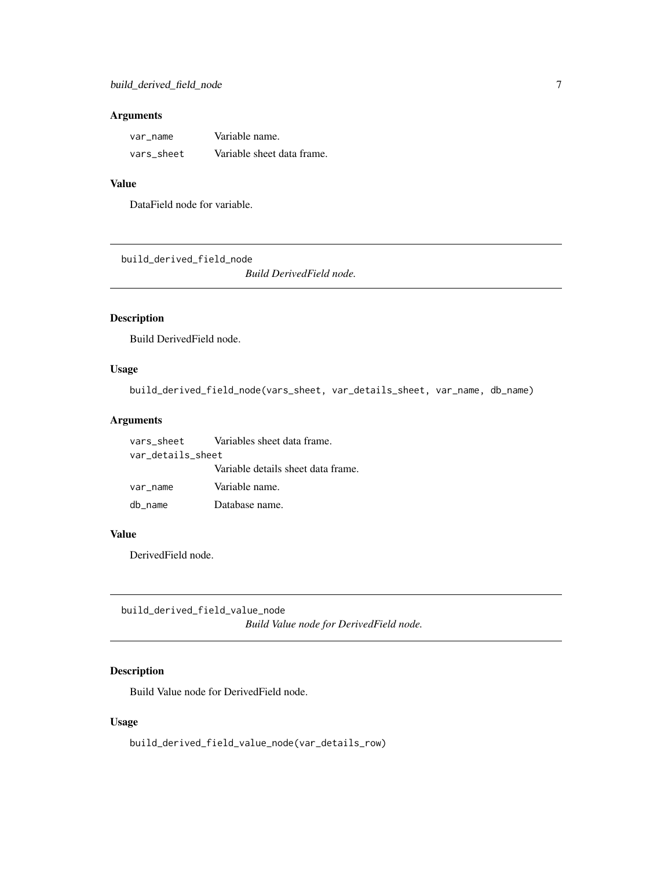<span id="page-6-0"></span>

| var name   | Variable name.             |
|------------|----------------------------|
| vars sheet | Variable sheet data frame. |

# Value

DataField node for variable.

build\_derived\_field\_node

*Build DerivedField node.*

# Description

Build DerivedField node.

# Usage

```
build_derived_field_node(vars_sheet, var_details_sheet, var_name, db_name)
```
#### Arguments

| vars_sheet        | Variables sheet data frame.        |
|-------------------|------------------------------------|
| var details sheet |                                    |
|                   | Variable details sheet data frame. |
| var name          | Variable name.                     |
| db_name           | Database name.                     |

#### Value

DerivedField node.

build\_derived\_field\_value\_node *Build Value node for DerivedField node.*

# Description

Build Value node for DerivedField node.

# Usage

build\_derived\_field\_value\_node(var\_details\_row)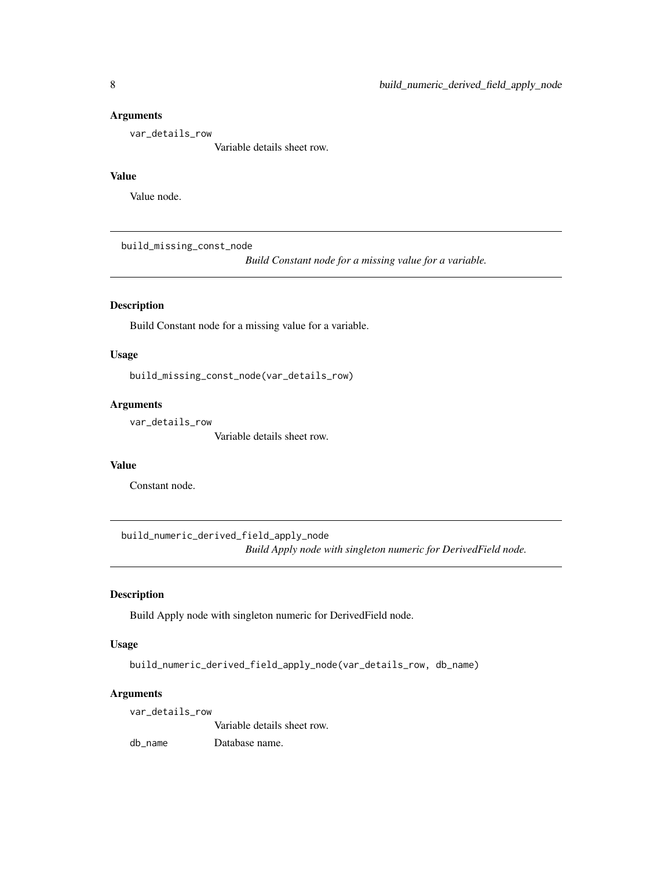<span id="page-7-0"></span>var\_details\_row

Variable details sheet row.

#### Value

Value node.

build\_missing\_const\_node

*Build Constant node for a missing value for a variable.*

# **Description**

Build Constant node for a missing value for a variable.

#### Usage

build\_missing\_const\_node(var\_details\_row)

#### Arguments

var\_details\_row

Variable details sheet row.

#### Value

Constant node.

build\_numeric\_derived\_field\_apply\_node *Build Apply node with singleton numeric for DerivedField node.*

### Description

Build Apply node with singleton numeric for DerivedField node.

#### Usage

```
build_numeric_derived_field_apply_node(var_details_row, db_name)
```
#### Arguments

var\_details\_row

Variable details sheet row.

db\_name Database name.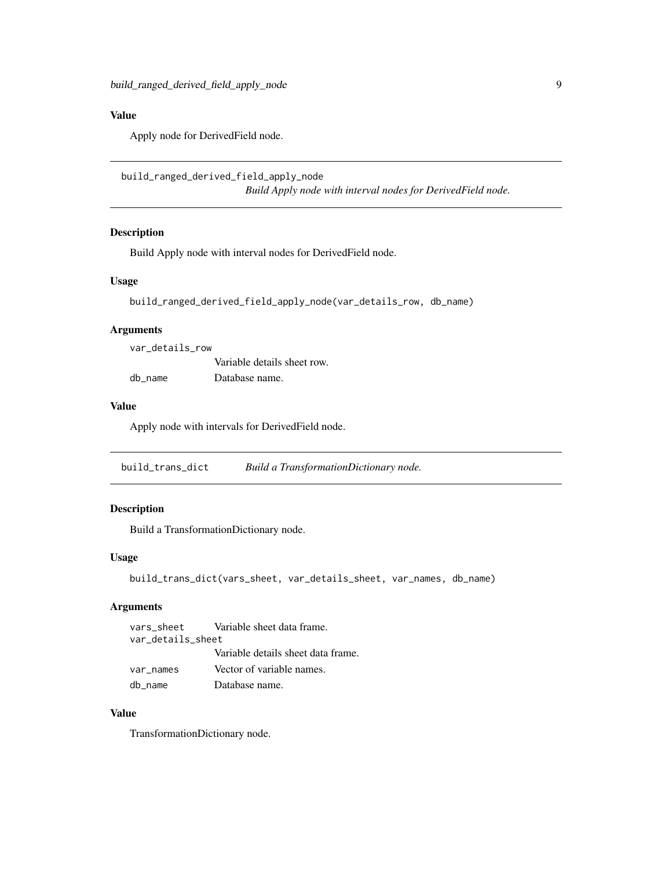# <span id="page-8-0"></span>Value

Apply node for DerivedField node.

```
build_ranged_derived_field_apply_node
                         Build Apply node with interval nodes for DerivedField node.
```
#### Description

Build Apply node with interval nodes for DerivedField node.

#### Usage

```
build_ranged_derived_field_apply_node(var_details_row, db_name)
```
#### Arguments

| var details row |                             |
|-----------------|-----------------------------|
|                 | Variable details sheet row. |
| db name         | Database name.              |

#### Value

Apply node with intervals for DerivedField node.

build\_trans\_dict *Build a TransformationDictionary node.*

#### Description

Build a TransformationDictionary node.

#### Usage

```
build_trans_dict(vars_sheet, var_details_sheet, var_names, db_name)
```
### Arguments

vars\_sheet Variable sheet data frame. var\_details\_sheet Variable details sheet data frame. var\_names Vector of variable names. db\_name Database name.

#### Value

TransformationDictionary node.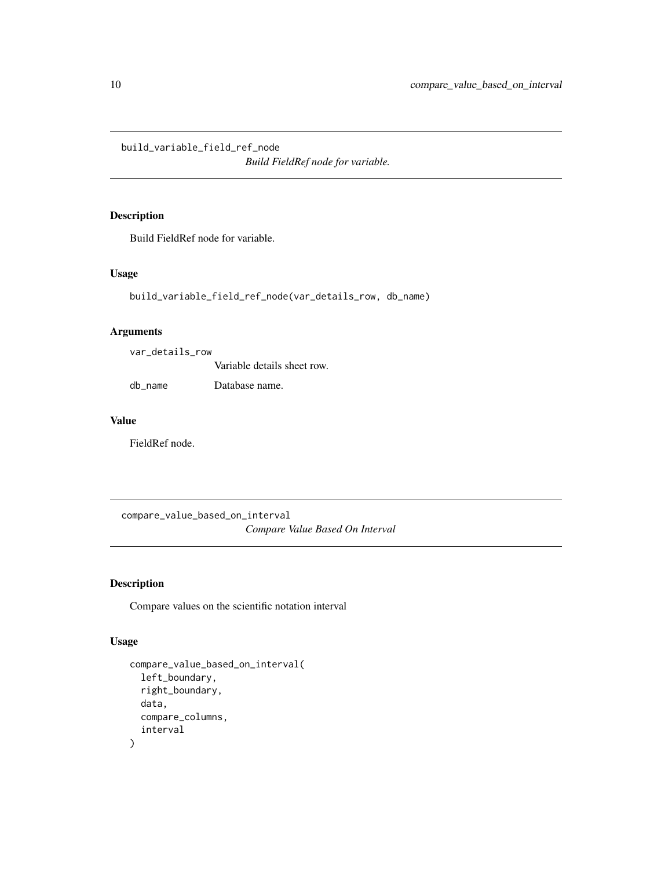<span id="page-9-0"></span>build\_variable\_field\_ref\_node

*Build FieldRef node for variable.*

#### Description

Build FieldRef node for variable.

#### Usage

```
build_variable_field_ref_node(var_details_row, db_name)
```
#### Arguments

var\_details\_row

Variable details sheet row.

db\_name Database name.

#### Value

FieldRef node.

compare\_value\_based\_on\_interval *Compare Value Based On Interval*

#### Description

Compare values on the scientific notation interval

#### Usage

```
compare_value_based_on_interval(
  left_boundary,
  right_boundary,
  data,
  compare_columns,
  interval
\mathcal{E}
```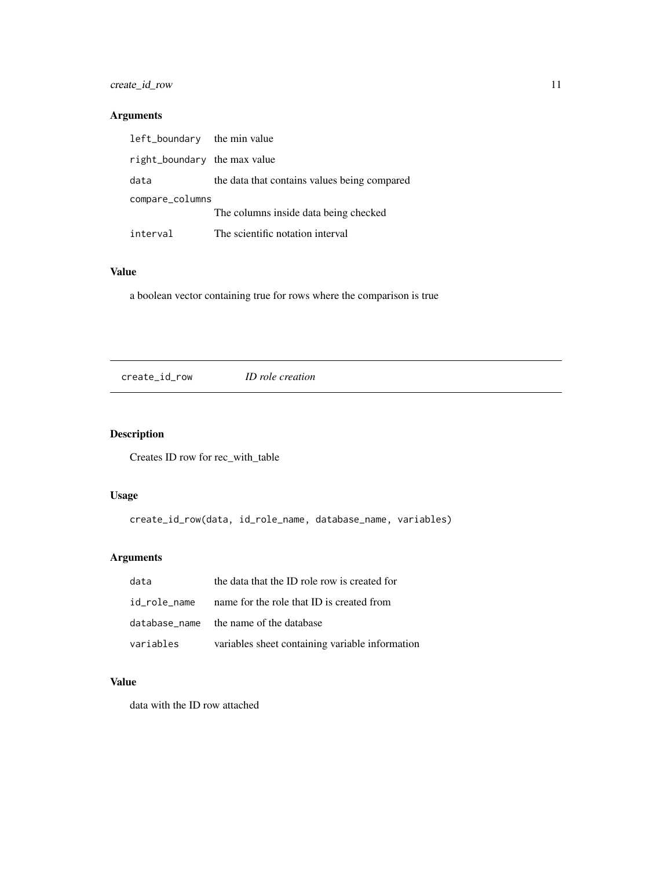# <span id="page-10-0"></span>create\_id\_row 11

# Arguments

| left_boundary the min value  |                                              |
|------------------------------|----------------------------------------------|
| right_boundary the max value |                                              |
| data                         | the data that contains values being compared |
| compare_columns              |                                              |
|                              | The columns inside data being checked        |
| interval                     | The scientific notation interval             |

# Value

a boolean vector containing true for rows where the comparison is true

create\_id\_row *ID role creation*

# Description

Creates ID row for rec\_with\_table

# Usage

create\_id\_row(data, id\_role\_name, database\_name, variables)

# Arguments

| data      | the data that the ID role row is created for           |
|-----------|--------------------------------------------------------|
|           | id_role_name name for the role that ID is created from |
|           | database name the name of the database                 |
| variables | variables sheet containing variable information        |

# Value

data with the ID row attached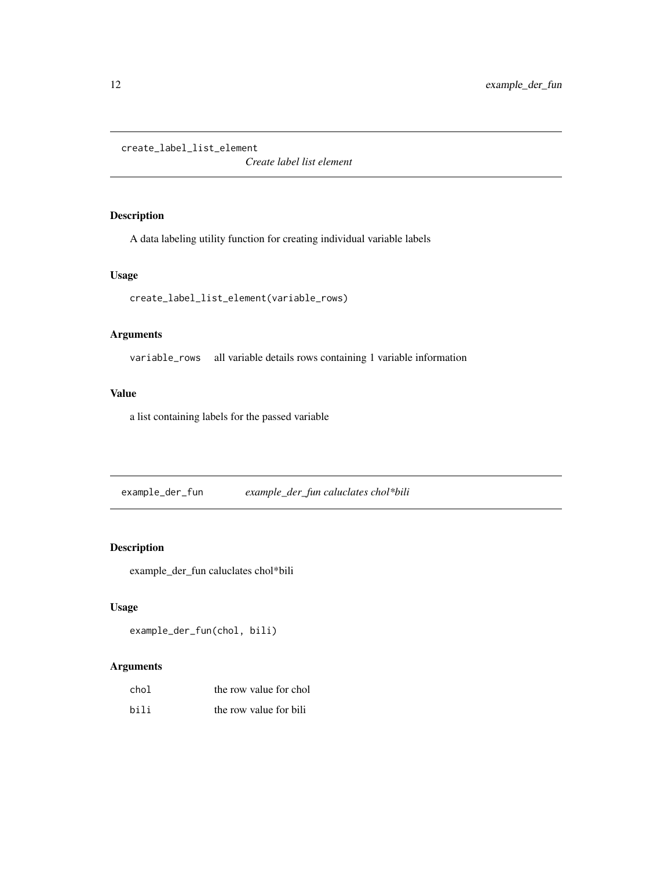<span id="page-11-0"></span>create\_label\_list\_element

*Create label list element*

#### Description

A data labeling utility function for creating individual variable labels

#### Usage

```
create_label_list_element(variable_rows)
```
#### Arguments

variable\_rows all variable details rows containing 1 variable information

#### Value

a list containing labels for the passed variable

example\_der\_fun *example\_der\_fun caluclates chol\*bili*

#### Description

example\_der\_fun caluclates chol\*bili

### Usage

```
example_der_fun(chol, bili)
```
#### Arguments

| chol | the row value for chol |
|------|------------------------|
| bili | the row value for bili |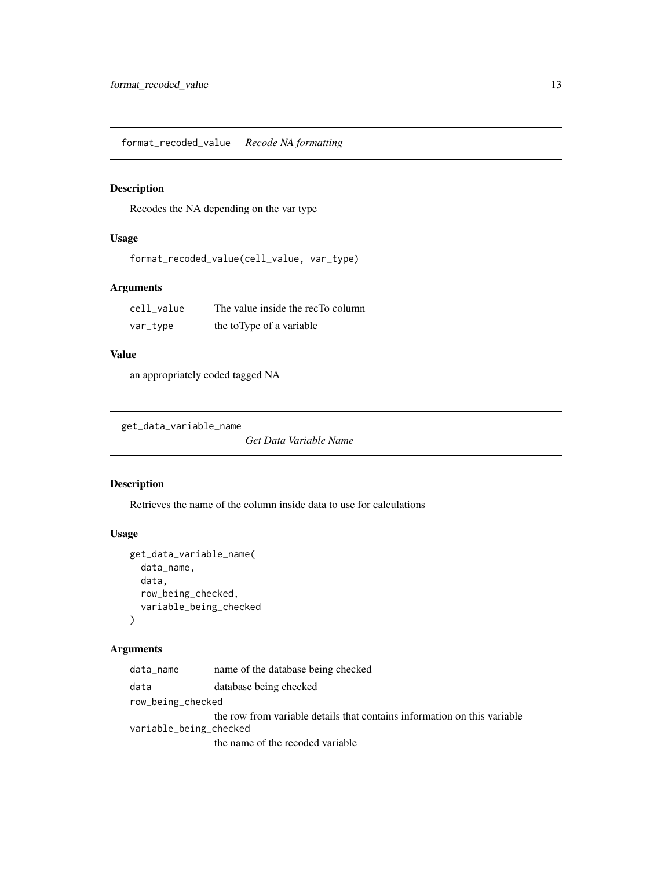<span id="page-12-0"></span>format\_recoded\_value *Recode NA formatting*

#### Description

Recodes the NA depending on the var type

#### Usage

format\_recoded\_value(cell\_value, var\_type)

# Arguments

| cell value | The value inside the recTo column |
|------------|-----------------------------------|
| var_type   | the toType of a variable          |

#### Value

an appropriately coded tagged NA

```
get_data_variable_name
```
*Get Data Variable Name*

#### Description

Retrieves the name of the column inside data to use for calculations

#### Usage

```
get_data_variable_name(
  data_name,
  data,
  row_being_checked,
  variable_being_checked
\mathcal{L}
```
#### Arguments

data\_name name of the database being checked data database being checked row\_being\_checked the row from variable details that contains information on this variable variable\_being\_checked the name of the recoded variable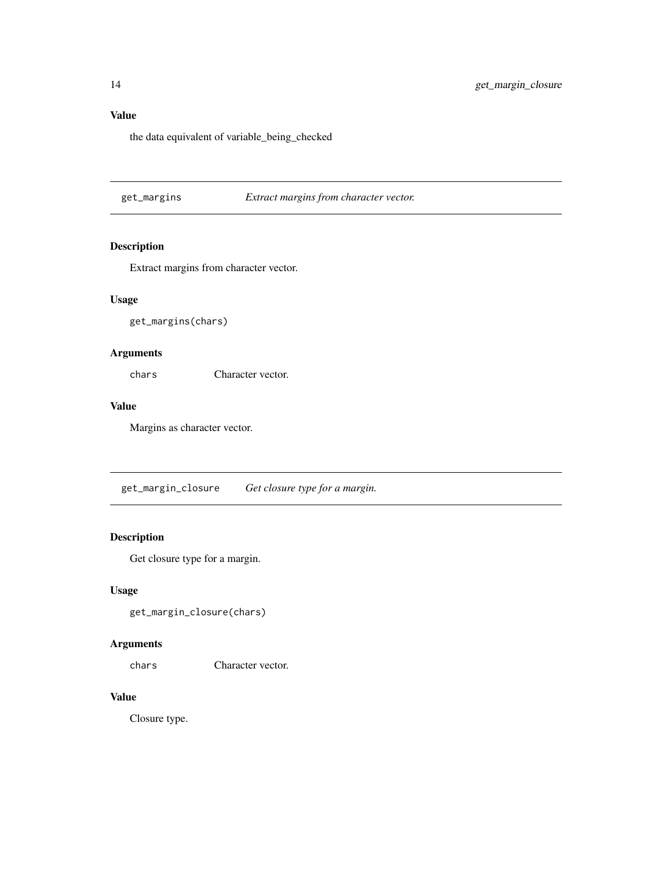# <span id="page-13-0"></span>Value

the data equivalent of variable\_being\_checked

#### get\_margins *Extract margins from character vector.*

#### Description

Extract margins from character vector.

#### Usage

get\_margins(chars)

#### Arguments

chars Character vector.

#### Value

Margins as character vector.

get\_margin\_closure *Get closure type for a margin.*

# Description

Get closure type for a margin.

#### Usage

get\_margin\_closure(chars)

#### Arguments

chars Character vector.

# Value

Closure type.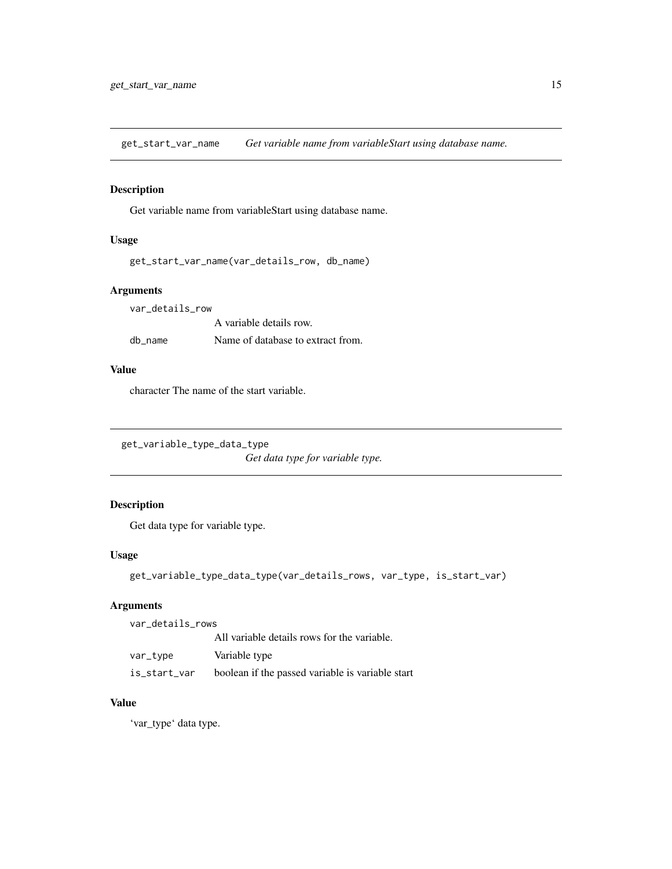<span id="page-14-0"></span>get\_start\_var\_name *Get variable name from variableStart using database name.*

#### Description

Get variable name from variableStart using database name.

#### Usage

```
get_start_var_name(var_details_row, db_name)
```
#### Arguments

| var details row |                                   |
|-----------------|-----------------------------------|
|                 | A variable details row.           |
| db name         | Name of database to extract from. |

#### Value

character The name of the start variable.

```
get_variable_type_data_type
```
*Get data type for variable type.*

# Description

Get data type for variable type.

### Usage

get\_variable\_type\_data\_type(var\_details\_rows, var\_type, is\_start\_var)

#### Arguments

var\_details\_rows All variable details rows for the variable. var\_type Variable type is\_start\_var boolean if the passed variable is variable start

#### Value

'var\_type' data type.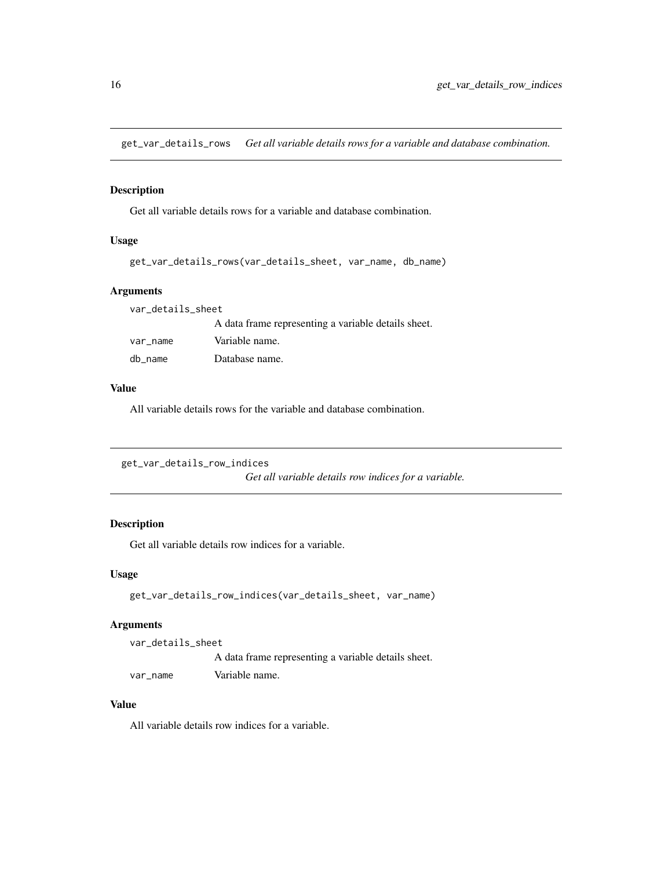<span id="page-15-0"></span>get\_var\_details\_rows *Get all variable details rows for a variable and database combination.*

#### Description

Get all variable details rows for a variable and database combination.

#### Usage

```
get_var_details_rows(var_details_sheet, var_name, db_name)
```
#### Arguments

| var_details_sheet |                                                     |
|-------------------|-----------------------------------------------------|
|                   | A data frame representing a variable details sheet. |
| var_name          | Variable name.                                      |
| db_name           | Database name.                                      |

#### Value

All variable details rows for the variable and database combination.

```
get_var_details_row_indices
```
*Get all variable details row indices for a variable.*

#### Description

Get all variable details row indices for a variable.

#### Usage

```
get_var_details_row_indices(var_details_sheet, var_name)
```
#### Arguments

var\_details\_sheet A data frame representing a variable details sheet. var\_name Variable name.

#### Value

All variable details row indices for a variable.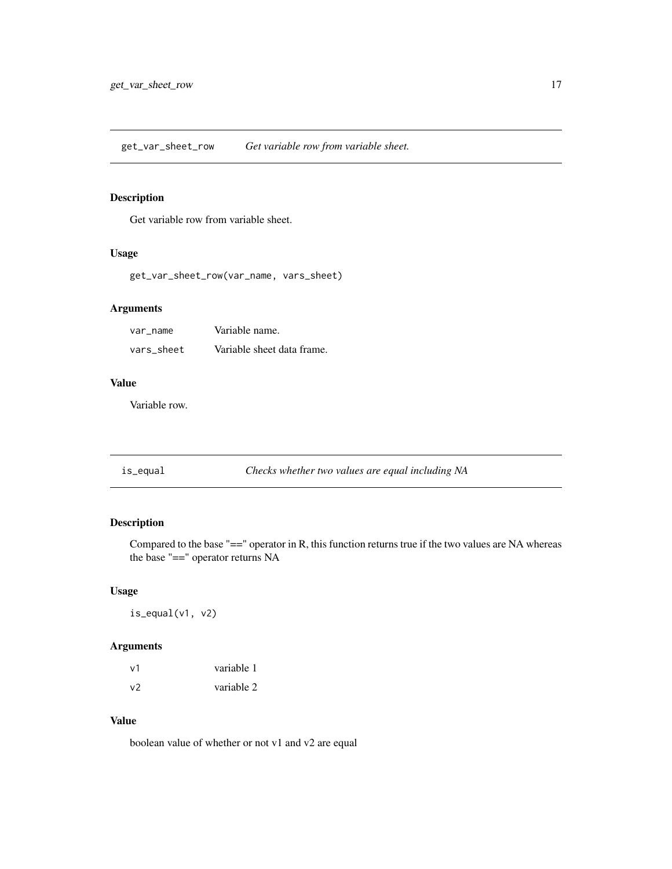<span id="page-16-0"></span>get\_var\_sheet\_row *Get variable row from variable sheet.*

#### Description

Get variable row from variable sheet.

# Usage

get\_var\_sheet\_row(var\_name, vars\_sheet)

# Arguments

| var name   | Variable name.             |
|------------|----------------------------|
| vars sheet | Variable sheet data frame. |

#### Value

Variable row.

is\_equal *Checks whether two values are equal including NA*

#### Description

Compared to the base "==" operator in R, this function returns true if the two values are NA whereas the base "==" operator returns NA

#### Usage

is\_equal(v1, v2)

#### Arguments

| ν1 | variable 1 |
|----|------------|
| v2 | variable 2 |

#### Value

boolean value of whether or not v1 and v2 are equal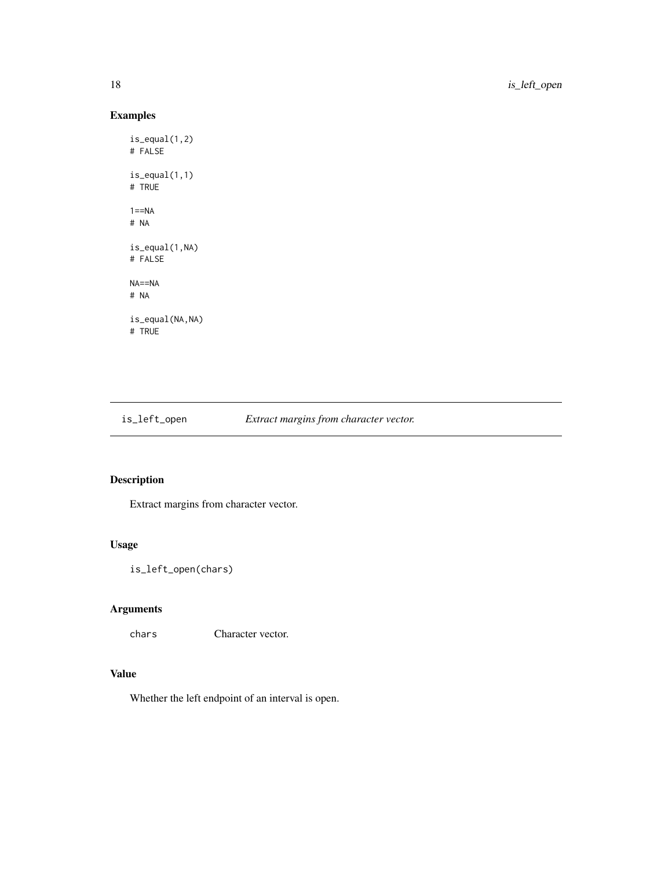# Examples

```
is_equal(1,2)
# FALSE
is_equal(1,1)
# TRUE
1 == NA# NA
is_equal(1,NA)
# FALSE
NA==NA
# NA
is_equal(NA,NA)
# TRUE
```
is\_left\_open *Extract margins from character vector.*

# Description

Extract margins from character vector.

# Usage

```
is_left_open(chars)
```
# Arguments

chars Character vector.

# Value

Whether the left endpoint of an interval is open.

<span id="page-17-0"></span>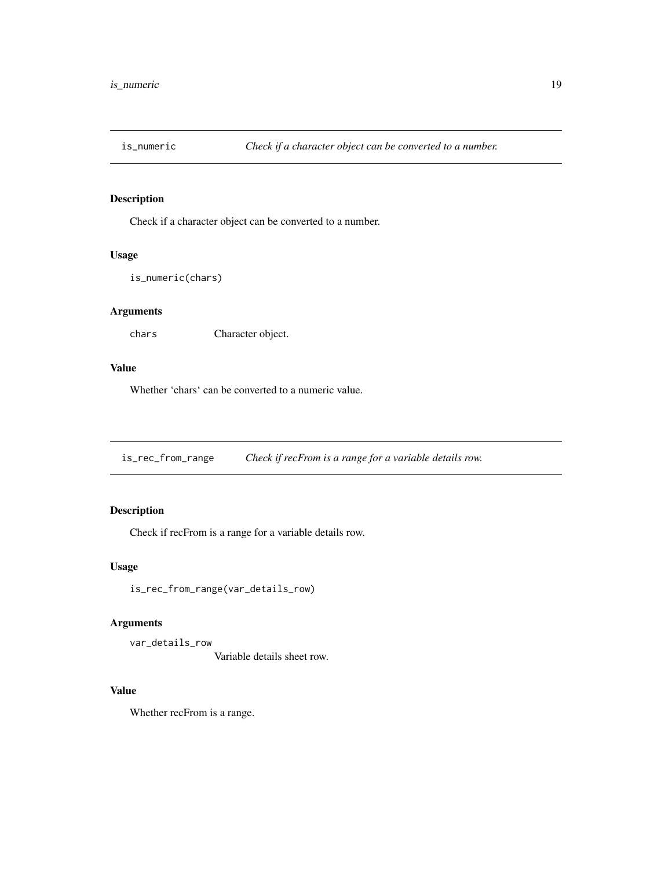<span id="page-18-0"></span>

# Description

Check if a character object can be converted to a number.

#### Usage

```
is_numeric(chars)
```
#### Arguments

chars Character object.

#### Value

Whether 'chars' can be converted to a numeric value.

is\_rec\_from\_range *Check if recFrom is a range for a variable details row.*

#### Description

Check if recFrom is a range for a variable details row.

#### Usage

```
is_rec_from_range(var_details_row)
```
#### Arguments

var\_details\_row

Variable details sheet row.

# Value

Whether recFrom is a range.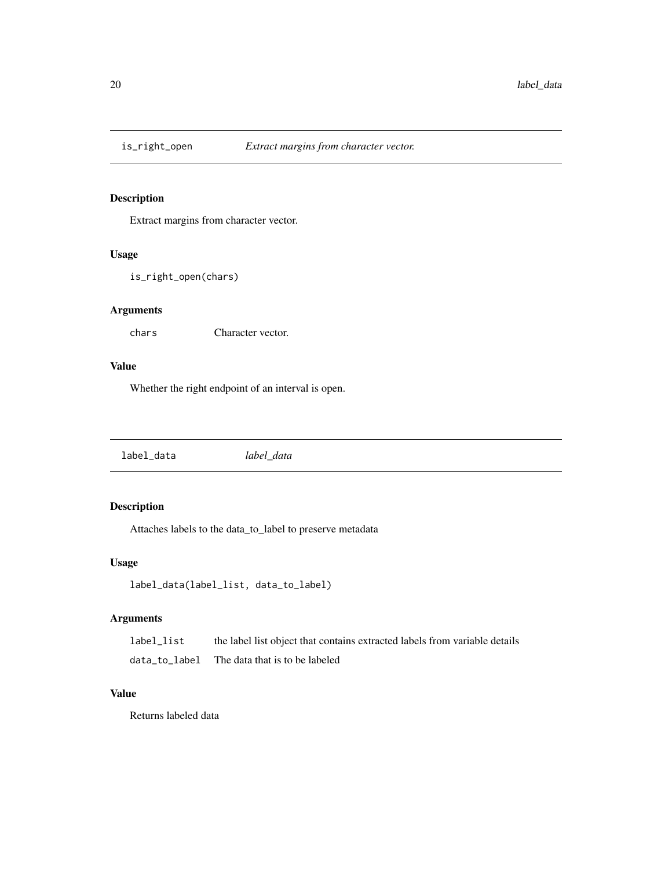<span id="page-19-0"></span>

# Description

Extract margins from character vector.

#### Usage

```
is_right_open(chars)
```
#### Arguments

chars Character vector.

#### Value

Whether the right endpoint of an interval is open.

label\_data *label\_data*

# Description

Attaches labels to the data\_to\_label to preserve metadata

#### Usage

```
label_data(label_list, data_to_label)
```
#### Arguments

label\_list the label list object that contains extracted labels from variable details data\_to\_label The data that is to be labeled

#### Value

Returns labeled data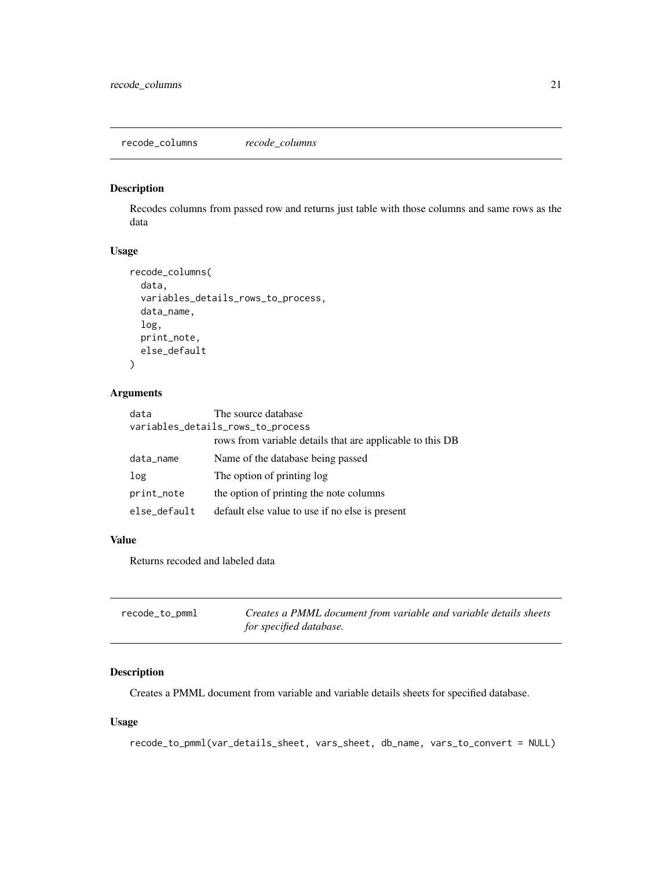#### <span id="page-20-0"></span>Description

Recodes columns from passed row and returns just table with those columns and same rows as the data

#### Usage

```
recode_columns(
  data,
  variables_details_rows_to_process,
  data_name,
  log,
 print_note,
  else_default
\overline{)}
```
#### Arguments

| data                              | The source database                                       |
|-----------------------------------|-----------------------------------------------------------|
| variables_details_rows_to_process |                                                           |
|                                   | rows from variable details that are applicable to this DB |
| data_name                         | Name of the database being passed                         |
| log                               | The option of printing log                                |
| print_note                        | the option of printing the note columns                   |
| else_default                      | default else value to use if no else is present           |

### Value

Returns recoded and labeled data

| recode_to_pmml | Creates a PMML document from variable and variable details sheets |
|----------------|-------------------------------------------------------------------|
|                | for specified database.                                           |

#### Description

Creates a PMML document from variable and variable details sheets for specified database.

#### Usage

```
recode_to_pmml(var_details_sheet, vars_sheet, db_name, vars_to_convert = NULL)
```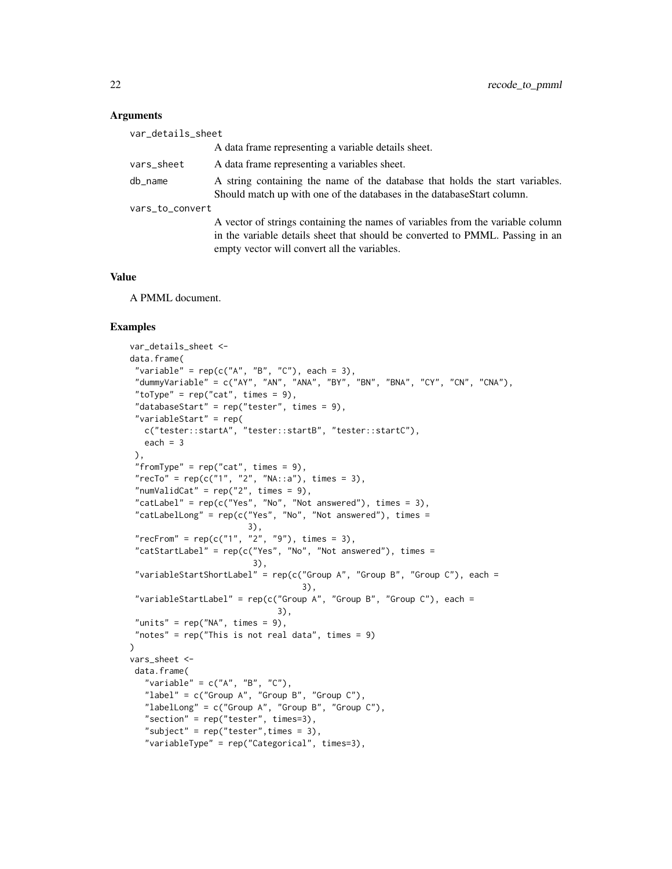| var_details_sheet |                                                                                                                                                                                                                 |
|-------------------|-----------------------------------------------------------------------------------------------------------------------------------------------------------------------------------------------------------------|
|                   | A data frame representing a variable details sheet.                                                                                                                                                             |
| vars_sheet        | A data frame representing a variables sheet.                                                                                                                                                                    |
| db_name           | A string containing the name of the database that holds the start variables.<br>Should match up with one of the databases in the databaseStart column.                                                          |
| vars_to_convert   |                                                                                                                                                                                                                 |
|                   | A vector of strings containing the names of variables from the variable column<br>in the variable details sheet that should be converted to PMML. Passing in an<br>empty vector will convert all the variables. |

#### Value

A PMML document.

#### Examples

```
var_details_sheet <-
data.frame(
"variable" = rep(c("A", "B", "C"), each = 3),"dummyVariable" = c("AY", "AN", "ANA", "BY", "BN", "BNA", "CY", "CN", "CNA"),"toType" = rep("cat", times = 9),"databaseStart" = rep("tester", times = 9),"variableStart" = rep(
  c("tester::startA", "tester::startB", "tester::startC"),
  each = 3),
 "fromType" = rep("cat", times = 9),"recTo" = rep(c("1", "2", "NA::a"), times = 3),"numValidCat" = rep("2", times = 9),"catLabel" = rep(c("Yes", "No", "Not answered"), times = 3),"catLabelLong" = rep(c("Yes", "No", "Not answered"), times =
                        3),
 "recFrom" = rep(c("1", "2", "9"), times = 3),"catStartLabel" = rep(c("Yes", "No", "Not answered"), times =3),
 "variableStartShortLabel" = rep(c("Group A", "Group B", "Group C"), each =
                                   3),
 "variableStartLabel" = rep(c("Group A", "Group B", "Group C"), each =3),
 "units" = rep("NA", times = 9),"notes" = rep("This is not real data", times = 9)\mathcal{L}vars_sheet <-
data.frame(
  "variable" = c("A", "B", "C"),"label" = c("Group A", "Group B", "Group C"),"labelLong" = c("Group A", "Group B", "Group C"),
   "section" = rep("tester", times=3),
   "subject" = rep("tester", times = 3),
   "variableType" = rep("Categorical", times=3),
```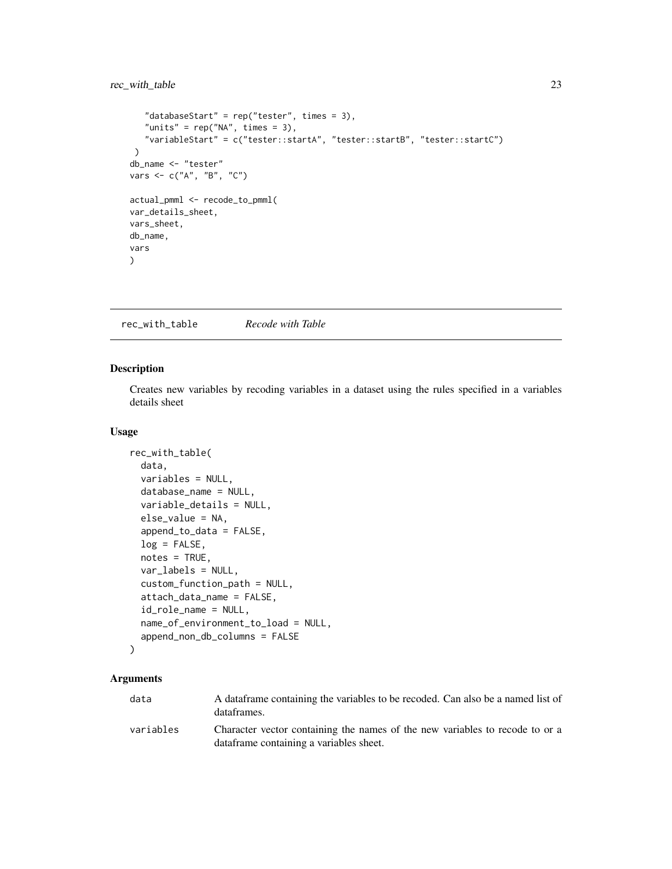#### <span id="page-22-0"></span>rec\_with\_table 23

```
"databaseStart" = rep("tester", times = 3),
   "units" = rep("NA", times = 3),"variableStart" = c("tester::startA", "tester::startB", "tester::startC")
 )
db_name <- "tester"
vars <- c("A", "B", "C")
actual_pmml <- recode_to_pmml(
var_details_sheet,
vars_sheet,
db_name,
vars
)
```
rec\_with\_table *Recode with Table*

#### Description

Creates new variables by recoding variables in a dataset using the rules specified in a variables details sheet

#### Usage

```
rec_with_table(
  data,
  variables = NULL,
  database_name = NULL,
  variable_details = NULL,
  else_value = NA,
  append_to_data = FALSE,
  log = FALSE,notes = TRUE,
  var_labels = NULL,
  custom_function_path = NULL,
  attach_data_name = FALSE,
  id_role_name = NULL,
  name_of_environment_to_load = NULL,
  append_non_db_columns = FALSE
)
```
#### Arguments

| data      | A data frame containing the variables to be recoded. Can also be a named list of<br>dataframes.                          |
|-----------|--------------------------------------------------------------------------------------------------------------------------|
| variables | Character vector containing the names of the new variables to recode to or a<br>data frame containing a variables sheet. |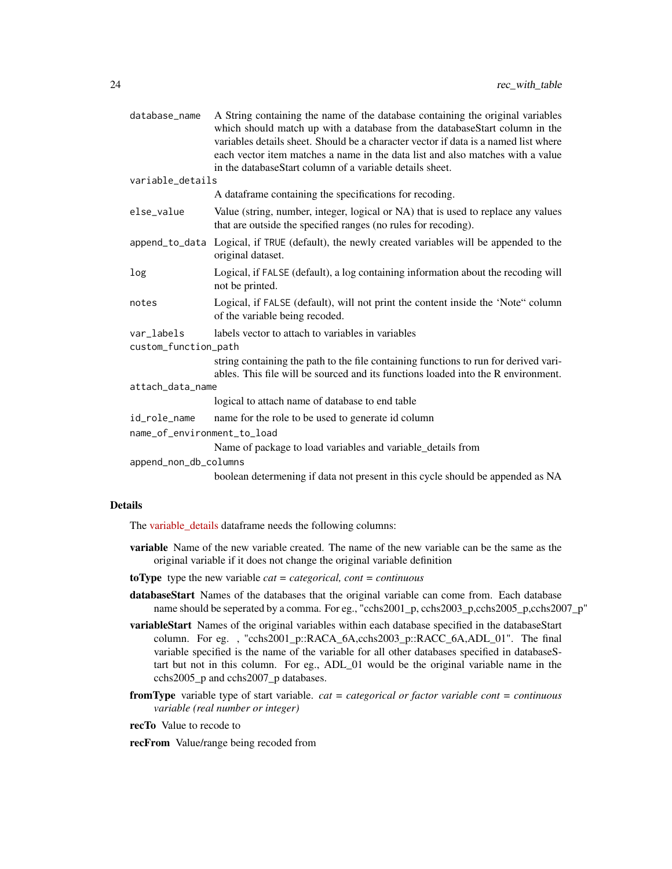| database_name               | A String containing the name of the database containing the original variables<br>which should match up with a database from the databaseStart column in the<br>variables details sheet. Should be a character vector if data is a named list where<br>each vector item matches a name in the data list and also matches with a value |
|-----------------------------|---------------------------------------------------------------------------------------------------------------------------------------------------------------------------------------------------------------------------------------------------------------------------------------------------------------------------------------|
| variable_details            | in the databaseStart column of a variable details sheet.                                                                                                                                                                                                                                                                              |
|                             | A dataframe containing the specifications for recoding.                                                                                                                                                                                                                                                                               |
|                             |                                                                                                                                                                                                                                                                                                                                       |
| else_value                  | Value (string, number, integer, logical or NA) that is used to replace any values<br>that are outside the specified ranges (no rules for recoding).                                                                                                                                                                                   |
|                             | append_to_data Logical, if TRUE (default), the newly created variables will be appended to the<br>original dataset.                                                                                                                                                                                                                   |
| log                         | Logical, if FALSE (default), a log containing information about the recoding will<br>not be printed.                                                                                                                                                                                                                                  |
| notes                       | Logical, if FALSE (default), will not print the content inside the 'Note" column<br>of the variable being recoded.                                                                                                                                                                                                                    |
| var_labels                  | labels vector to attach to variables in variables                                                                                                                                                                                                                                                                                     |
| custom_function_path        |                                                                                                                                                                                                                                                                                                                                       |
|                             | string containing the path to the file containing functions to run for derived vari-<br>ables. This file will be sourced and its functions loaded into the R environment.                                                                                                                                                             |
| attach_data_name            |                                                                                                                                                                                                                                                                                                                                       |
|                             | logical to attach name of database to end table                                                                                                                                                                                                                                                                                       |
| id_role_name                | name for the role to be used to generate id column                                                                                                                                                                                                                                                                                    |
| name_of_environment_to_load |                                                                                                                                                                                                                                                                                                                                       |
|                             | Name of package to load variables and variable_details from                                                                                                                                                                                                                                                                           |
| append_non_db_columns       |                                                                                                                                                                                                                                                                                                                                       |
|                             | boolean determening if data not present in this cycle should be appended as NA                                                                                                                                                                                                                                                        |

#### Details

The [variable\\_details](https://github.com/Big-Life-Lab/recodeflow/blob/master/inst/extdata/PBC-variableDetails.csv) dataframe needs the following columns:

- variable Name of the new variable created. The name of the new variable can be the same as the original variable if it does not change the original variable definition
- toType type the new variable *cat = categorical, cont = continuous*
- databaseStart Names of the databases that the original variable can come from. Each database name should be seperated by a comma. For eg., "cchs2001\_p, cchs2003\_p,cchs2005\_p,cchs2007\_p"
- variableStart Names of the original variables within each database specified in the databaseStart column. For eg. , "cchs2001\_p::RACA\_6A,cchs2003\_p::RACC\_6A,ADL\_01". The final variable specified is the name of the variable for all other databases specified in databaseStart but not in this column. For eg., ADL\_01 would be the original variable name in the cchs2005\_p and cchs2007\_p databases.
- fromType variable type of start variable. *cat = categorical or factor variable cont = continuous variable (real number or integer)*
- recTo Value to recode to
- recFrom Value/range being recoded from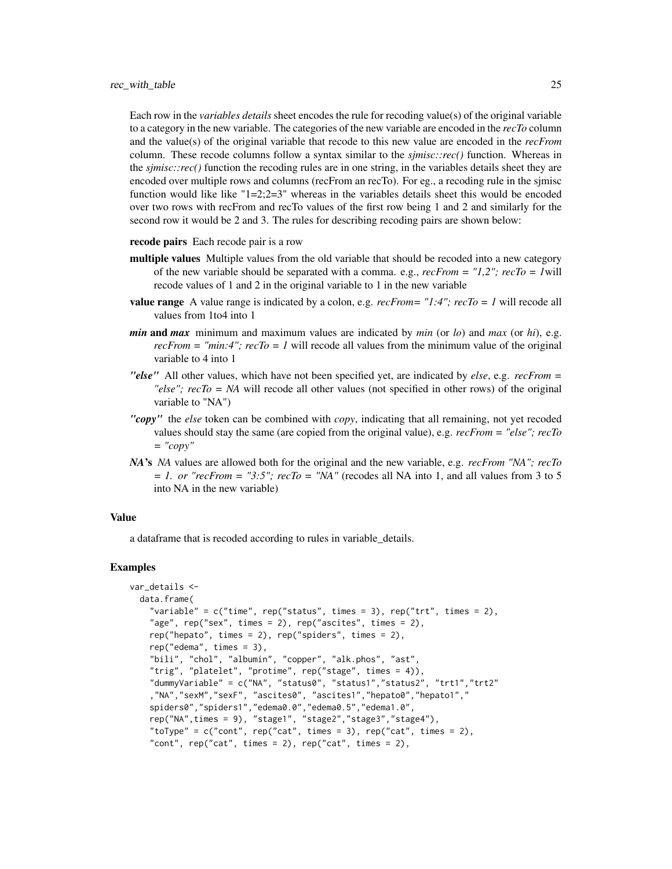Each row in the *variables details* sheet encodes the rule for recoding value(s) of the original variable to a category in the new variable. The categories of the new variable are encoded in the *recTo* column and the value(s) of the original variable that recode to this new value are encoded in the *recFrom* column. These recode columns follow a syntax similar to the *sjmisc::rec()* function. Whereas in the *sjmisc::rec()* function the recoding rules are in one string, in the variables details sheet they are encoded over multiple rows and columns (recFrom an recTo). For eg., a recoding rule in the sjmisc function would like like " $1=2;2=3$ " whereas in the variables details sheet this would be encoded over two rows with recFrom and recTo values of the first row being 1 and 2 and similarly for the second row it would be 2 and 3. The rules for describing recoding pairs are shown below:

- recode pairs Each recode pair is a row
- multiple values Multiple values from the old variable that should be recoded into a new category of the new variable should be separated with a comma. e.g., *recFrom = "1,2"; recTo = 1*will recode values of 1 and 2 in the original variable to 1 in the new variable
- **value range** A value range is indicated by a colon, e.g.  $recFrom = "1:4"; recTo = 1$  will recode all values from 1to4 into 1
- *min* and *max* minimum and maximum values are indicated by *min* (or *lo*) and *max* (or *hi*), e.g.  $recFrom = "min:4"; recTo = 1$  will recode all values from the minimum value of the original variable to 4 into 1
- *"else"* All other values, which have not been specified yet, are indicated by *else*, e.g. *recFrom = "else"; recTo = NA* will recode all other values (not specified in other rows) of the original variable to "NA")
- *"copy"* the *else* token can be combined with *copy*, indicating that all remaining, not yet recoded values should stay the same (are copied from the original value), e.g. *recFrom = "else"; recTo = "copy"*
- *NA*'s *NA* values are allowed both for the original and the new variable, e.g. *recFrom "NA"; recTo*  $= 1.$  or "recFrom  $=$  "3:5"; recTo  $=$  "NA" (recodes all NA into 1, and all values from 3 to 5 into NA in the new variable)

#### Value

a dataframe that is recoded according to rules in variable\_details.

#### Examples

```
var_details <-
 data.frame(
    "variable" = c("time", rep("status", times = 3), rep("trt", times = 2),"age", rep("sex", times = 2), rep("ascites", times = 2),rep("hepato", times = 2), rep("spiders", times = 2),
    rep("edema", times = 3),
    "bili", "chol", "albumin", "copper", "alk.phos", "ast",
    "trig", "platelet", "protime", rep("stage", times = 4)),
    "dummyVariable" = c("NA", "status0", "status1","status2", "trt1","trt2"
    ,"NA","sexM","sexF", "ascites0", "ascites1","hepato0","hepato1","
    spiders0","spiders1","edema0.0","edema0.5","edema1.0",
    rep("NA",times = 9), "stage1", "stage2","stage3","stage4"),
    "toType" = c("cont", rep("cat", times = 3), rep("cat", times = 2),"cont", rep("cat", times = 2), rep("cat", times = 2),
```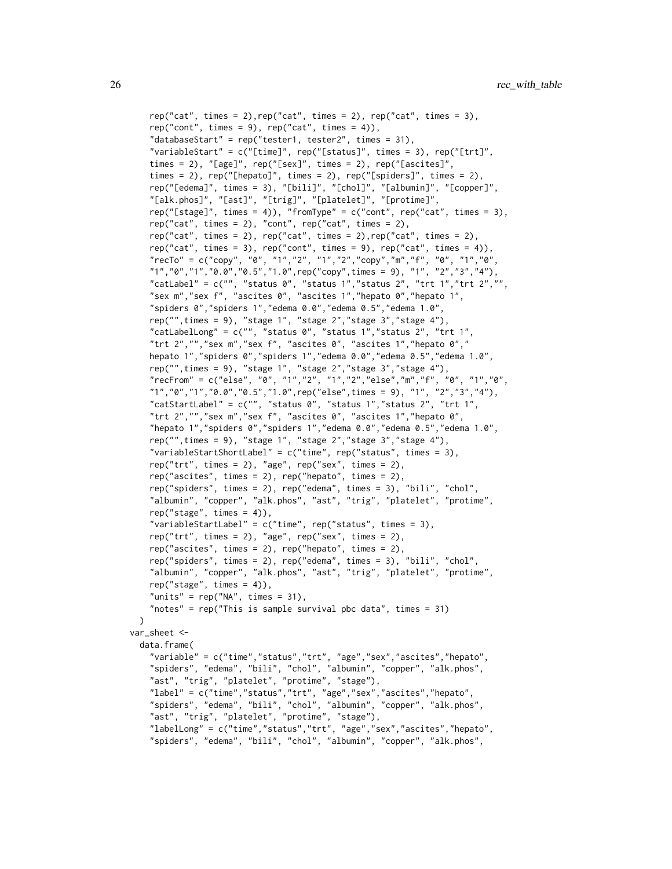```
rep("cat", times = 2), rep("cat", times = 2), rep("cat", time = 3),rep("cont", times = 9), rep("cat", times = 4)),"databaseStart" = rep("tester1, tester2", times = 31),
    "variableStart" = c("[time]", rep("[status]", times = 3), rep("[trt]",
    times = 2), "[age]", rep("[sex]", times = 2), rep("[ascites]",
    times = 2), rep("[hepato]", times = 2), rep("[spiders]", times = 2),rep("[edema]", times = 3), "[bili]", "[chol]", "[albumin]", "[copper]",
    "[alk.phos]", "[ast]", "[trig]", "[platelet]", "[protime]",
    rep("[stage]", times = 4)), "fromType" = c("cont", rep("cat", times = 3),rep("cat", times = 2), "cont", rep("cat", times = 2),rep("cat", times = 2), rep("cat", times = 2), rep("cat", time = 2),rep("cat", times = 3), rep("cont", times = 9), rep("cat", times = 4)),"recTo" = c("copy", "0", "1","2", "1","2", "copy", "m", "f", "0", "1", "0", "1", "0",
    "1", "0", "1", "0.0", "0.5", "1.0", rep("copy", times = 9), "1", "2", "3", "4"),"catLabel" = c("", "status 0", "status 1", "status 2", "trt 1", "trt 2", """sex m","sex f", "ascites 0", "ascites 1","hepato 0","hepato 1",
    "spiders 0","spiders 1","edema 0.0","edema 0.5","edema 1.0",
    rep("",times = 9), "stage 1", "stage 2","stage 3","stage 4"),
    "catLabelLong" = c("", "status 0", "status 1", "status 2", "trt 1","trt 2","","sex m","sex f", "ascites 0", "ascites 1","hepato 0","
    hepato 1","spiders 0","spiders 1","edema 0.0","edema 0.5","edema 1.0",
    rep("",times = 9), "stage 1", "stage 2","stage 3","stage 4"),
    "recFrom" = c("else", "0", "1","2", "1","2","else","m","f", "0", "1","0",
    "1","0","1","0.0","0.5","1.0",rep("else",times = 9), "1", "2","3","4"),
    "catStartLabel" = c("", "status 0", "status 1", "status 2", "trt 1","trt 2","","sex m","sex f", "ascites 0", "ascites 1","hepato 0",
    "hepato 1","spiders 0","spiders 1","edema 0.0","edema 0.5","edema 1.0",
    rep("",times = 9), "stage 1", "stage 2","stage 3","stage 4"),
    "variableStartShortLabel" = c("time", rep("status", times = 3),
    rep("trt", times = 2), "age", rep("sex", times = 2),rep("ascites", times = 2), rep("hepato", times = 2),
    rep("spiders", times = 2), rep("edema", times = 3), "bili", "chol",
    "albumin", "copper", "alk.phos", "ast", "trig", "platelet", "protime",
    rep("stage", times = 4)),"variableStartLabel" = c("time", rep("status", times = 3),
    rep("trt", times = 2), "age", rep("sex", times = 2),rep("ascites", times = 2), rep("hepato", times = 2),
    rep("spiders", times = 2), rep("edema", times = 3), "bili", "chol",
    "albumin", "copper", "alk.phos", "ast", "trig", "platelet", "protime",
    rep('stage'', times = 4)),"units" = rep("NA", times = 31),"notes" = rep("This is sample survival pbc data", times = 31)
 )
var_sheet <-
 data.frame(
    "variable" = c("time","status","trt", "age","sex","ascites","hepato",
    "spiders", "edema", "bili", "chol", "albumin", "copper", "alk.phos",
    "ast", "trig", "platelet", "protime", "stage"),
    "label" = c("time","status","trt", "age","sex","ascites","hepato",
    "spiders", "edema", "bili", "chol", "albumin", "copper", "alk.phos",
    "ast", "trig", "platelet", "protime", "stage"),
    "labelLong" = c("time","status","trt", "age","sex","ascites","hepato",
    "spiders", "edema", "bili", "chol", "albumin", "copper", "alk.phos",
```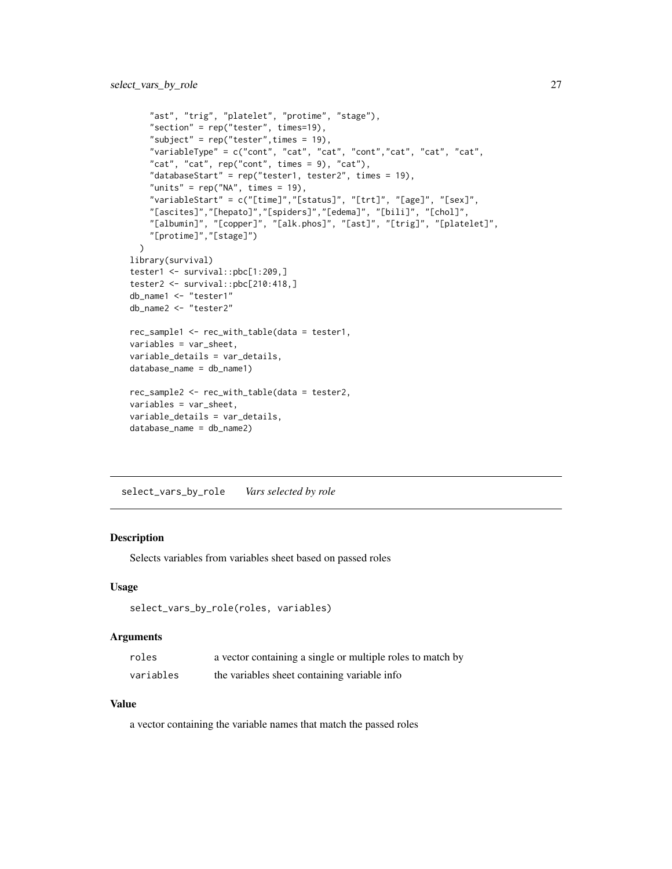```
"ast", "trig", "platelet", "protime", "stage"),
    "section" = rep("tester", times=19),
    "subject" = rep("tester", times = 19),"variableType" = c("cont", "cat", "cat", "cont","cat", "cat", "cat",
    "cat", "cat", rep("cont", times = 9), "cat"),
    "databaseStart" = rep("tester1, tester2", times = 19),
    "units" = rep("NA", times = 19),"variableStart" = c("[time]","[status]", "[trt]", "[age]", "[sex]",
    "[ascites]","[hepato]","[spiders]","[edema]", "[bili]", "[chol]",
    "[albumin]", "[copper]", "[alk.phos]", "[ast]", "[trig]", "[platelet]",
    "[protime]","[stage]")
  \lambdalibrary(survival)
tester1 <- survival::pbc[1:209,]
tester2 <- survival::pbc[210:418,]
db_name1 <- "tester1"
db_name2 <- "tester2"
rec_sample1 <- rec_with_table(data = tester1,
variables = var_sheet,
variable_details = var_details,
database_name = db_name1)
rec_sample2 <- rec_with_table(data = tester2,
variables = var_sheet,
variable_details = var_details,
database_name = db_name2)
```
select\_vars\_by\_role *Vars selected by role*

#### Description

Selects variables from variables sheet based on passed roles

#### Usage

```
select_vars_by_role(roles, variables)
```
#### **Arguments**

| roles     | a vector containing a single or multiple roles to match by |
|-----------|------------------------------------------------------------|
| variables | the variables sheet containing variable info               |

#### Value

a vector containing the variable names that match the passed roles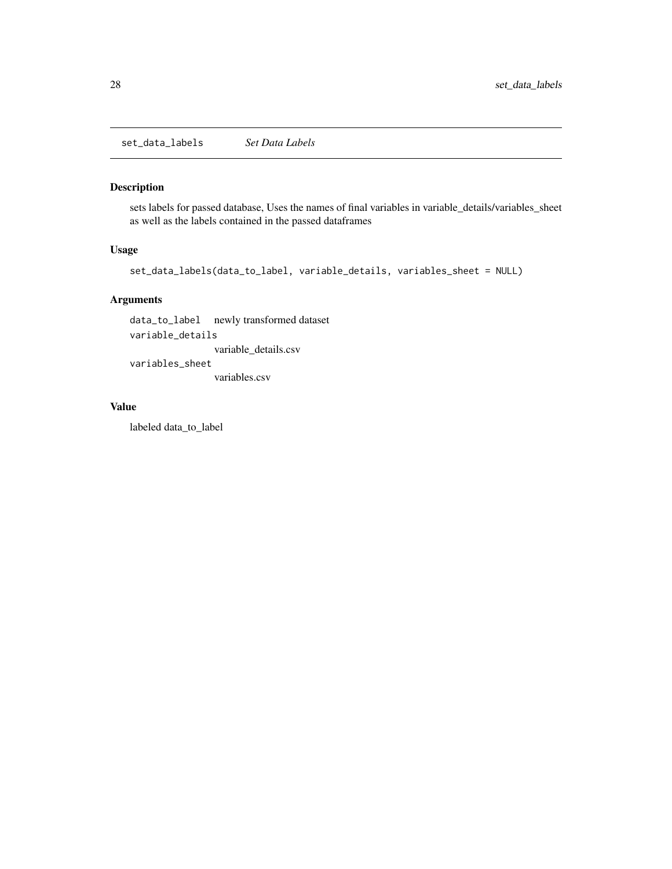<span id="page-27-0"></span>set\_data\_labels *Set Data Labels*

# Description

sets labels for passed database, Uses the names of final variables in variable\_details/variables\_sheet as well as the labels contained in the passed dataframes

#### Usage

```
set_data_labels(data_to_label, variable_details, variables_sheet = NULL)
```
#### Arguments

data\_to\_label newly transformed dataset variable\_details variable\_details.csv variables\_sheet variables.csv

#### Value

labeled data\_to\_label